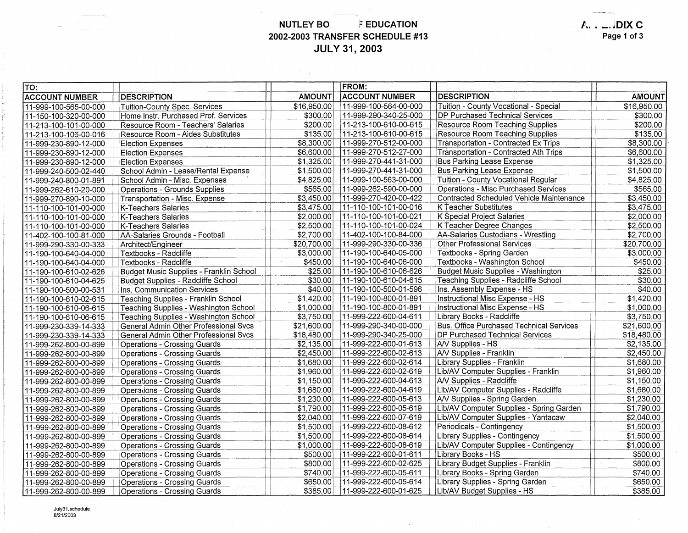**NUTLEY BO.** *Fill EDUCATION* **2002-2003 TRANSFER SCHEDULE #13 JULY 31, 2003** 

 $\sim$ 

**A .. \_.JDIX C Page 1 of 3** 

| TO:                   |                                         |               | <b>FROM:</b>          |                                          |               |
|-----------------------|-----------------------------------------|---------------|-----------------------|------------------------------------------|---------------|
| <b>ACCOUNT NUMBER</b> | <b>DESCRIPTION</b>                      | <b>AMOUNT</b> | <b>ACCOUNT NUMBER</b> | <b>DESCRIPTION</b>                       | <b>AMOUNT</b> |
| 11-999-100-565-00-000 | <b>Tuition-County Spec. Services</b>    | \$16,950.00   | 11-999-100-564-00-000 | Tuition - County Vocational - Special    | \$16,950.00   |
| 11-150-100-320-00-000 | Home Instr. Purchased Prof. Services    | \$300.00      | 11-999-290-340-25-000 | DP Purchased Technical Services          | \$300.00      |
| 11-213-100-101-00-000 | Resource Room - Teachers' Salaries      | \$200.00      | 11-213-100-610-00-615 | Resource Room Teaching Supplies          | \$200.00      |
| 11-213-100-106-00-016 | Resource Room - Aides Substitutes       | \$135.00      | 11-213-100-610-00-615 | Resource Room Teaching Supplies          | \$135.00      |
| 11-999-230-890-12-000 | <b>Election Expenses</b>                | \$8,300.00    | 11-999-270-512-00-000 | Transportation - Contracted Ex Trips     | \$8,300.00    |
| 11-999-230-890-12-000 | <b>Election Expenses</b>                | \$6,600.00    | 11-999-270-512-27-000 | Transportation - Contracted Ath Trips    | \$6,600.00    |
| 11-999-230-890-12-000 | <b>Election Expenses</b>                | \$1,325.00    | 11-999-270-441-31-000 | <b>Bus Parking Lease Expense</b>         | \$1,325.00    |
| 11-999-240-500-02-440 | School Admin - Lease/Rental Expense     | \$1,500.00    | 11-999-270-441-31-000 | <b>Bus Parking Lease Expense</b>         | \$1,500.00    |
| 11-999-240-800-01-891 | School Admin - Misc. Expenses           | \$4,825.00    | 11-999-100-563-00-000 | Tuition - County Vocational Regular      | \$4,825.00    |
| 11-999-262-610-20-000 | Operations - Grounds Supplies           | \$565.00      | 11-999-262-590-00-000 | Operations - Misc Purchased Services     | \$565.00      |
| 11-999-270-890-10-000 | Transportation - Misc. Expense          | \$3,450.00    | 11-999-270-420-00-422 | Contracted Scheduled Vehicle Maintenance | \$3,450.00    |
| 11-110-100-101-00-000 | K-Teachers Salaries                     | \$3,475.00    | 11-110-100-101-00-016 | K Teacher Substitutes                    | \$3,475.00    |
| 11-110-100-101-00-000 | <b>K-Teachers Salaries</b>              | \$2,000.00    | 11-110-100-101-00-021 | K Special Project Salaries               | \$2,000.00    |
| 11-110-100-101-00-000 | K-Teachers Salaries                     | \$2,500.00    | 11-110-100-101-00-024 | K Teacher Degree Changes                 | \$2,500.00    |
| 11-402-100-100-81-000 | AA-Salaries Grounds - Football          | \$2,700.00    | 11-402-100-100-84-000 | AA-Salaries Custodians - Wrestling       | \$2,700.00    |
| 11-999-290-330-00-333 | Architect/Engineer                      | \$20.700.00   | 11-999-290-330-00-336 | <b>Other Professional Services</b>       | \$20,700.00   |
| 11-190-100-640-04-000 | Textbooks - Radcliffe                   | \$3,000.00    | 11-190-100-640-05-000 | Textbooks - Spring Garden                | \$3,000.00    |
| 11-190-100-640-04-000 | Textbooks - Radcliffe                   | \$450.00      | 11-190-100-640-06-000 | Textbooks - Washington School            | \$450.00      |
| 11-190-100-610-02-626 | Budget Music Supplies - Franklin School | \$25.00       | 11-190-100-610-06-626 | Budget Music Supplies - Washington       | \$25.00       |
| 11-190-100-610-04-625 | Budget Supplies - Radcliffe School      | \$30.00       | 11-190-100-610-04-615 | Teaching Supplies - Radcliffe School     | \$30.00       |
| 11-190-100-500-00-531 | Ins. Communication Services             | \$40.00       | 11-190-100-500-01-596 | Ins. Assembly Expense - HS               | \$40.00       |
| 11-190-100-610-02-615 | Teaching Supplies - Franklin School     | \$1,420.00    | 11-190-100-800-01-891 | Instructional Misc Expense - HS          | \$1,420.00    |
| 11-190-100-610-06-615 | Teaching Supplies - Washington School   | \$1,000.00    | 11-190-100-800-01-891 | Instructional Misc Expense - HS          | \$1,000.00    |
| 11-190-100-610-06-615 | Teaching Supplies - Washington School   | \$3,750.00    | 11-999-222-600-04-611 | Library Books - Radcliffe                | \$3,750.00    |
| 11-999-230-339-14-333 | General Admin Other Professional Svcs   | \$21,600.00   | 11-999-290-340-00-000 | Bus. Office Purchased Technical Services | \$21,600.00   |
| 11-999-230-339-14-333 | General Admin Other Professional Svcs   | \$18,480.00   | 11-999-290-340-25-000 | <b>IDP Purchased Technical Services</b>  | \$18,480.00   |
| 11-999-262-800-00-899 | <b>Operations - Crossing Guards</b>     | \$2,135.00    | 11-999-222-600-01-613 | A/V Supplies - HS                        | \$2,135.00    |
| 11-999-262-800-00-899 | <b>Operations - Crossing Guards</b>     | \$2,450.00    | 11-999-222-600-02-613 | <b>AV Supplies - Franklin</b>            | \$2,450.00    |
| 11-999-262-800-00-899 | <b>Operations - Crossing Guards</b>     | \$1,680.00    | 11-999-222-600-02-614 | Library Supplies - Franklin              | \$1,680.00    |
| 11-999-262-800-00-899 | <b>Operations - Crossing Guards</b>     | \$1,960.00    | 11-999-222-600-02-619 | Lib/AV Computer Supplies - Franklin      | \$1,960.00    |
| 11-999-262-800-00-899 | <b>Operations - Crossing Guards</b>     | \$1,150.00    | 11-999-222-600-04-613 | A/V Supplies - Radcliffe                 | \$1,150.00    |
| 11-999-262-800-00-899 | <b>Operations - Crossing Guards</b>     | \$1,680.00    | 11-999-222-600-04-619 | Lib/AV Computer Supplies - Radcliffe     | \$1,680.00    |
| 11-999-262-800-00-899 | <b>Operations - Crossing Guards</b>     | \$1,230.00    | 11-999-222-600-05-613 | A/V Supplies - Spring Garden             | \$1,230.00    |
| 11-999-262-800-00-899 | <b>Operations - Crossing Guards</b>     | \$1,790.00    | 11-999-222-600-05-619 | Lib/AV Computer Supplies - Spring Garden | \$1,790.00    |
| 11-999-262-800-00-899 | <b>Operations - Crossing Guards</b>     | \$2,040.00    | 11-999-222-600-07-619 | Lib/AV Computer Supplies - Yantacaw      | \$2,040.00    |
| 11-999-262-800-00-899 | <b>Operations - Crossing Guards</b>     | \$1,500.00    | 11-999-222-600-08-612 | Periodicals - Contingency                | \$1,500.00    |
| 11-999-262-800-00-899 | <b>Operations - Crossing Guards</b>     | \$1,500.00    | 11-999-222-600-08-614 | Library Supplies - Contingency           | \$1,500.00    |
| 11-999-262-800-00-899 | <b>Operations - Crossing Guards</b>     | \$1,000.00    | 11-999-222-600-08-619 | Lib/AV Computer Supplies - Contingency   | \$1,000.00    |
| 11-999-262-800-00-899 | <b>Operations - Crossing Guards</b>     | \$500.00      | 11-999-222-600-01-611 | Library Books - HS                       | \$500.00      |
| 11-999-262-800-00-899 | Operations - Crossing Guards            | \$800.00      | 11-999-222-600-02-625 | Library Budget Supplies - Franklin       | \$800.00      |
| 11-999-262-800-00-899 | Operations - Crossing Guards            | \$740.00      | 11-999-222-600-05-611 | Library Books - Spring Garden            | \$740.00      |
| 11-999-262-800-00-899 | <b>Operations - Crossing Guards</b>     | \$650.00      | 11-999-222-600-05-614 | Library Supplies - Spring Garden         | \$650.00      |
| 11-999-262-800-00-899 | Operations - Crossing Guards            | \$385.00      | 11-999-222-600-01-625 | Lib/AV Budget Supplies - HS              | \$385.00      |

July31.schedule 8/21/2003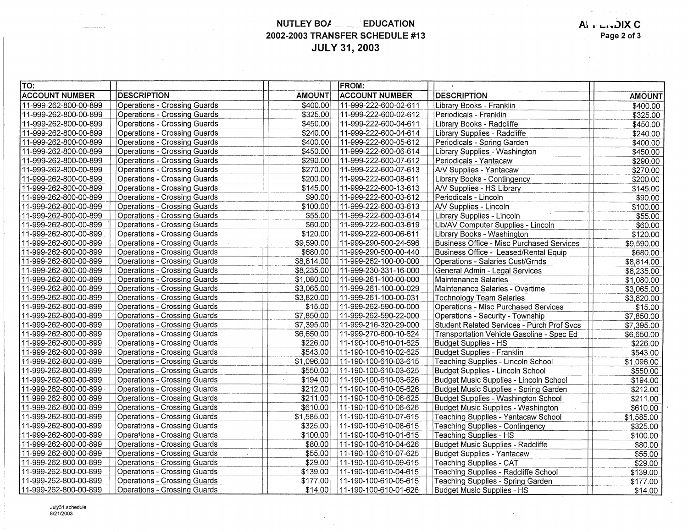**NUTLEY BOA EDUCATION 2002-2003 TRANSFER SCHEDULE #13 JULY 31, 2003** 

| TO:                   |                                     |               | <b>IFROM:</b>         |                                                  |               |
|-----------------------|-------------------------------------|---------------|-----------------------|--------------------------------------------------|---------------|
| <b>ACCOUNT NUMBER</b> | <b>DESCRIPTION</b>                  | <b>AMOUNT</b> | <b>ACCOUNT NUMBER</b> | <b>DESCRIPTION</b>                               | <b>AMOUNT</b> |
| 11-999-262-800-00-899 | Operations - Crossing Guards        | \$400.00      | 11-999-222-600-02-611 | Library Books - Franklin                         | \$400.00      |
| 11-999-262-800-00-899 | <b>Operations - Crossing Guards</b> | \$325.00      | 11-999-222-600-02-612 | Periodicals - Franklin                           | \$325.00      |
| 11-999-262-800-00-899 | Operations - Crossing Guards        | \$450.00      | 11-999-222-600-04-611 | Library Books - Radcliffe                        | \$450.00      |
| 11-999-262-800-00-899 | Operations - Crossing Guards        | \$240.00      | 11-999-222-600-04-614 | Library Supplies - Radcliffe                     | \$240.00      |
| 11-999-262-800-00-899 | <b>Operations - Crossing Guards</b> | \$400.00      | 11-999-222-600-05-612 | Periodicals - Spring Garden                      | \$400.00      |
| 11-999-262-800-00-899 | <b>Operations - Crossing Guards</b> | \$450.00      | 11-999-222-600-06-614 | Library Supplies - Washington                    | \$450.00      |
| 11-999-262-800-00-899 | <b>Operations - Crossing Guards</b> | \$290.00      | 11-999-222-600-07-612 | Periodicals - Yantacaw                           | \$290.00      |
| 11-999-262-800-00-899 | <b>Operations - Crossing Guards</b> | \$270.00      | 11-999-222-600-07-613 | A/V Supplies - Yantacaw                          | \$270.00      |
| 11-999-262-800-00-899 | <b>Operations - Crossing Guards</b> | \$200.00      | 11-999-222-600-08-611 | Library Books - Contingency                      | \$200.00      |
| 11-999-262-800-00-899 | <b>Operations - Crossing Guards</b> | \$145.00      | 11-999-222-600-13-613 | A/V Supplies - HS Library                        | \$145.00      |
| 11-999-262-800-00-899 | <b>Operations - Crossing Guards</b> | \$90.00       | 11-999-222-600-03-612 | Periodicals - Lincoln                            | \$90.00       |
| 11-999-262-800-00-899 | <b>Operations - Crossing Guards</b> | \$100.00      | 11-999-222-600-03-613 | A/V Supplies - Lincoln                           | \$100.00      |
| 11-999-262-800-00-899 | <b>Operations - Crossing Guards</b> | \$55.00       | 11-999-222-600-03-614 | Library Supplies - Lincoln                       | \$55.00       |
| 11-999-262-800-00-899 | <b>Operations - Crossing Guards</b> | \$60.00       | 11-999-222-600-03-619 | Lib/AV Computer Supplies - Lincoln               | \$60.00       |
| 11-999-262-800-00-899 | <b>Operations - Crossing Guards</b> | \$120.00      | 11-999-222-600-06-611 | Library Books - Washington                       | \$120.00      |
| 11-999-262-800-00-899 | Operations - Crossing Guards        | \$9,590.00    | 11-999-290-500-24-596 | <b>Business Office - Misc Purchased Services</b> | \$9,590.00    |
| 11-999-262-800-00-899 | Operations - Crossing Guards        | \$680.00      | 11-999-290-500-00-440 | Business Office - Leased/Rental Equip            | \$680.00      |
| 11-999-262-800-00-899 | Operations - Crossing Guards        | \$8,814.00    | 11-999-262-100-00-000 | Operations - Salaries Cust/Grnds                 | \$8,814.00    |
| 11-999-262-800-00-899 | <b>Operations - Crossing Guards</b> | \$8,235.00    | 11-999-230-331-16-000 | General Admin - Legal Services                   | \$8,235.00    |
| 11-999-262-800-00-899 | Operations - Crossing Guards        | \$1,080.00    | 11-999-261-100-00-000 | Maintenance Salaries                             | \$1,080.00    |
| 11-999-262-800-00-899 | Operations - Crossing Guards        | \$3,065.00    | 11-999-261-100-00-029 | Maintenance Salaries - Overtime                  | \$3,065.00    |
| 11-999-262-800-00-899 | Operations - Crossing Guards        | \$3,820.00    | 11-999-261-100-00-031 | <b>Technology Team Salaries</b>                  | \$3,820.00    |
| 11-999-262-800-00-899 | <b>Operations - Crossing Guards</b> | \$15.00       | 11-999-262-590-00-000 | Operations - Misc Purchased Services             | \$15.00       |
| 11-999-262-800-00-899 | Operations - Crossing Guards        | \$7,850.00    | 11-999-262-590-22-000 | Operations - Security - Township                 | \$7,850.00    |
| 11-999-262-800-00-899 | Operations - Crossing Guards        | \$7,395.00    | 11-999-216-320-29-000 | Student Related Services - Purch Prof Svcs       | \$7,395.00    |
| 11-999-262-800-00-899 | Operations - Crossing Guards        | \$6,650.00    | 11-999-270-600-10-624 | Transportation Vehicle Gasoline - Spec Ed        | \$6,650.00    |
| 11-999-262-800-00-899 | <b>Operations - Crossing Guards</b> | \$226.00      | 11-190-100-610-01-625 | <b>Budget Supplies - HS</b>                      | \$226.00      |
| 11-999-262-800-00-899 | Operations - Crossing Guards        | \$543.00      | 11-190-100-610-02-625 | Budget Supplies - Franklin                       | \$543.00      |
| 11-999-262-800-00-899 | <b>Operations - Crossing Guards</b> | \$1,096.00    | 11-190-100-610-03-615 | Teaching Supplies - Lincoln School               | \$1,096.00    |
| 11-999-262-800-00-899 | <b>Operations - Crossing Guards</b> | \$550.00      | 11-190-100-610-03-625 | Budget Supplies - Lincoln School                 | \$550.00      |
| 11-999-262-800-00-899 | Operations - Crossing Guards        | \$194.00      | 11-190-100-610-03-626 | Budget Music Supplies - Lincoln School           | \$194.00      |
| 11-999-262-800-00-899 | <b>Operations - Crossing Guards</b> | \$212.00      | 11-190-100-610-05-626 | Budget Music Supplies - Spring Garden            | \$212.00      |
| 11-999-262-800-00-899 | Operations - Crossing Guards        | \$211.00      | 11-190-100-610-06-625 | Budget Supplies - Washington School              | \$211.00      |
| 11-999-262-800-00-899 | <b>Operations - Crossing Guards</b> | \$610.00      | 11-190-100-610-06-626 | Budget Music Supplies - Washington               | \$610.00      |
| 11-999-262-800-00-899 | Operations - Crossing Guards        | \$1,585.00    | 11-190-100-610-07-615 | Teaching Supplies - Yantacaw School              | \$1,585.00    |
| 11-999-262-800-00-899 | Operations - Crossing Guards        | \$325.00      | 11-190-100-610-08-615 | <b>Teaching Supplies - Contingency</b>           | \$325.00      |
| 11-999-262-800-00-899 | <b>Operations - Crossing Guards</b> | \$100.00      | 11-190-100-610-01-615 | <b>Teaching Supplies - HS</b>                    | \$100.00      |
| 11-999-262-800-00-899 | <b>Operations - Crossing Guards</b> | \$80.00       | 11-190-100-610-04-626 | Budget Music Supplies - Radcliffe                | \$80.00       |
| 11-999-262-800-00-899 | <b>Operations - Crossing Guards</b> | \$55.00       | 11-190-100-610-07-625 | Budget Supplies - Yantacaw                       | \$55.00       |
| 11-999-262-800-00-899 | Operations - Crossing Guards        | \$29.00       | 11-190-100-610-09-615 | <b>Teaching Supplies - CAT</b>                   | \$29.00       |
| 11-999-262-800-00-899 | Operations - Crossing Guards        | \$139.00      | 11-190-100-610-04-615 | Teaching Supplies - Radcliffe School             | \$139.00      |
| 11-999-262-800-00-899 | Operations - Crossing Guards        | \$177.00      | 11-190-100-610-05-615 | Teaching Supplies - Spring Garden                | \$177.00      |
| 11-999-262-800-00-899 | Operations - Crossing Guards        | \$14.00       | 11-190-100-610-01-626 | <b>Budget Music Supplies - HS</b>                | \$14.00       |

July31.schedule 8/21/2003